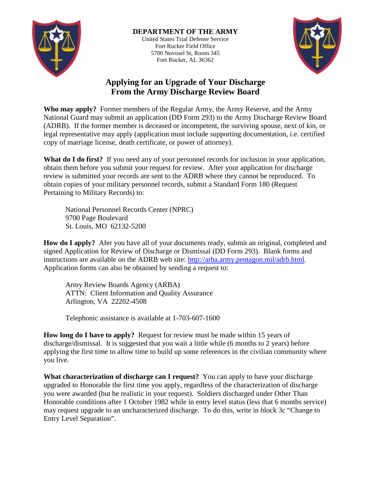

## **DEPARTMENT OF THE ARMY** United States Trial Defense Service Fort Rucker Field Office 5700 Novosel St, Room 345 Fort Rucker, AL 36362



## **Applying for an Upgrade of Your Discharge From the Army Discharge Review Board**

**Who may apply?** Former members of the Regular Army, the Army Reserve, and the Army National Guard may submit an application (DD Form 293) to the Army Discharge Review Board (ADRB). If the former member is deceased or incompetent, the surviving spouse, next of kin, or legal representative may apply (application must include supporting documentation, i.e. certified copy of marriage license, death certificate, or power of attorney).

**What do I do first?** If you need any of your personnel records for inclusion in your application, obtain them before you submit your request for review. After your application for discharge review is submitted your records are sent to the ADRB where they cannot be reproduced. To obtain copies of your military personnel records, submit a Standard Form 180 (Request Pertaining to Military Records) to:

National Personnel Records Center (NPRC) 9700 Page Boulevard St. Louis, MO 62132-5200

**How do I apply?** Afer you have all of your documents ready, submit an original, completed and signed Application for Review of Discharge or Dismissal (DD Form 293). Blank forms and instructions are available on the ADRB web site: [http://arba.army.pentagon.mil/adrb.html.](http://arba.army.pentagon.mil/adrb.html) Application forms can also be obtained by sending a request to:

Army Review Boards Agency (ARBA) ATTN: Client Information and Quality Assurance Arlington, VA 22202-4508

Telephonic assistance is available at 1-703-607-1600

**How long do I have to apply?** Request for review must be made within 15 years of discharge/dismissal. It is suggested that you wait a little while (6 months to 2 years) before applying the first time to allow time to build up some references in the civilian community where you live.

**What characterization of discharge can I request?** You can apply to have your discharge upgraded to Honorable the first time you apply, regardless of the characterization of discharge you were awarded (but be realistic in your request). Soldiers discharged under Other Than Honorable conditions after 1 October 1982 while in entry level status (less that 6 months service) may request upgrade to an uncharacterized discharge. To do this, write in block 3c "Change to Entry Level Separation".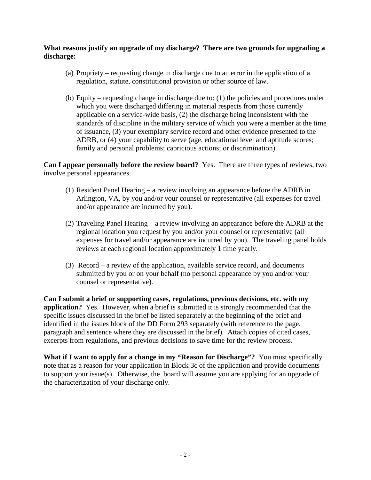## **What reasons justify an upgrade of my discharge? There are two grounds for upgrading a discharge:**

- (a) Propriety requesting change in discharge due to an error in the application of a regulation, statute, constitutional provision or other source of law.
- (b) Equity requesting change in discharge due to: (1) the policies and procedures under which you were discharged differing in material respects from those currently applicable on a service-wide basis, (2) the discharge being inconsistent with the standards of discipline in the military service of which you were a member at the time of issuance, (3) your exemplary service record and other evidence presented to the ADRB, or (4) your capability to serve (age, educational level and aptitude scores; family and personal problems; capricious actions; or discrimination).

**Can I appear personally before the review board?** Yes. There are three types of reviews, two involve personal appearances.

- (1) Resident Panel Hearing a review involving an appearance before the ADRB in Arlington, VA, by you and/or your counsel or representative (all expenses for travel and/or appearance are incurred by you).
- (2) Traveling Panel Hearing a review involving an appearance before the ADRB at the regional location you request by you and/or your counsel or representative (all expenses for travel and/or appearance are incurred by you). The traveling panel holds reviews at each regional location approximately 1 time yearly.
- (3) Record a review of the application, available service record, and documents submitted by you or on your behalf (no personal appearance by you and/or your counsel or representative).

**Can I submit a brief or supporting cases, regulations, previous decisions, etc. with my application?** Yes. However, when a brief is submitted it is strongly recommended that the specific issues discussed in the brief be listed separately at the beginning of the brief and identified in the issues block of the DD Form 293 separately (with reference to the page, paragraph and sentence where they are discussed in the brief). Attach copies of cited cases, excerpts from regulations, and previous decisions to save time for the review process.

**What if I want to apply for a change in my "Reason for Discharge"?** You must specifically note that as a reason for your application in Block 3c of the application and provide documents to support your issue(s). Otherwise, the board will assume you are applying for an upgrade of the characterization of your discharge only.